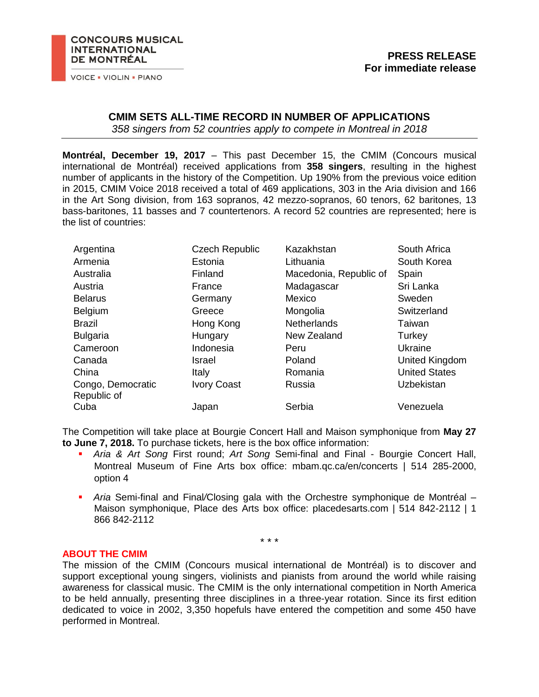## **CONCOURS MUSICAL INTERNATIONAL DE MONTRÉAL**

**VOICE . VIOLIN . PIANO** 

## **CMIM SETS ALL-TIME RECORD IN NUMBER OF APPLICATIONS**

*358 singers from 52 countries apply to compete in Montreal in 2018*

**Montréal, December 19, 2017** – This past December 15, the CMIM (Concours musical international de Montréal) received applications from **358 singers**, resulting in the highest number of applicants in the history of the Competition. Up 190% from the previous voice edition in 2015, CMIM Voice 2018 received a total of 469 applications, 303 in the Aria division and 166 in the Art Song division, from 163 sopranos, 42 mezzo-sopranos, 60 tenors, 62 baritones, 13 bass-baritones, 11 basses and 7 countertenors. A record 52 countries are represented; here is the list of countries:

| Argentina                        | <b>Czech Republic</b> | Kazakhstan             | South Africa         |
|----------------------------------|-----------------------|------------------------|----------------------|
| Armenia                          | Estonia               | Lithuania              | South Korea          |
| Australia                        | Finland               | Macedonia, Republic of | Spain                |
| Austria                          | France                | Madagascar             | Sri Lanka            |
| <b>Belarus</b>                   | Germany               | Mexico                 | Sweden               |
| <b>Belgium</b>                   | Greece                | Mongolia               | Switzerland          |
| <b>Brazil</b>                    | Hong Kong             | <b>Netherlands</b>     | Taiwan               |
| <b>Bulgaria</b>                  | Hungary               | New Zealand            | Turkey               |
| Cameroon                         | Indonesia             | Peru                   | Ukraine              |
| Canada                           | Israel                | Poland                 | United Kingdom       |
| China                            | Italy                 | Romania                | <b>United States</b> |
| Congo, Democratic<br>Republic of | <b>Ivory Coast</b>    | Russia                 | Uzbekistan           |
| Cuba                             | Japan                 | Serbia                 | Venezuela            |

The Competition will take place at Bourgie Concert Hall and Maison symphonique from **May 27 to June 7, 2018.** To purchase tickets, here is the box office information:

- *Aria & Art Song* First round; *Art Song* Semi-final and Final Bourgie Concert Hall, Montreal Museum of Fine Arts box office: mbam.qc.ca/en/concerts | 514 285-2000, option 4
- *Aria* Semi-final and Final*/*Closing gala with the Orchestre symphonique de Montréal Maison symphonique, Place des Arts box office: placedesarts.com | 514 842-2112 | 1 866 842-2112

\* \* \*

## **ABOUT THE CMIM**

The mission of the CMIM (Concours musical international de Montréal) is to discover and support exceptional young singers, violinists and pianists from around the world while raising awareness for classical music. The CMIM is the only international competition in North America to be held annually, presenting three disciplines in a three-year rotation. Since its first edition dedicated to voice in 2002, 3,350 hopefuls have entered the competition and some 450 have performed in Montreal.